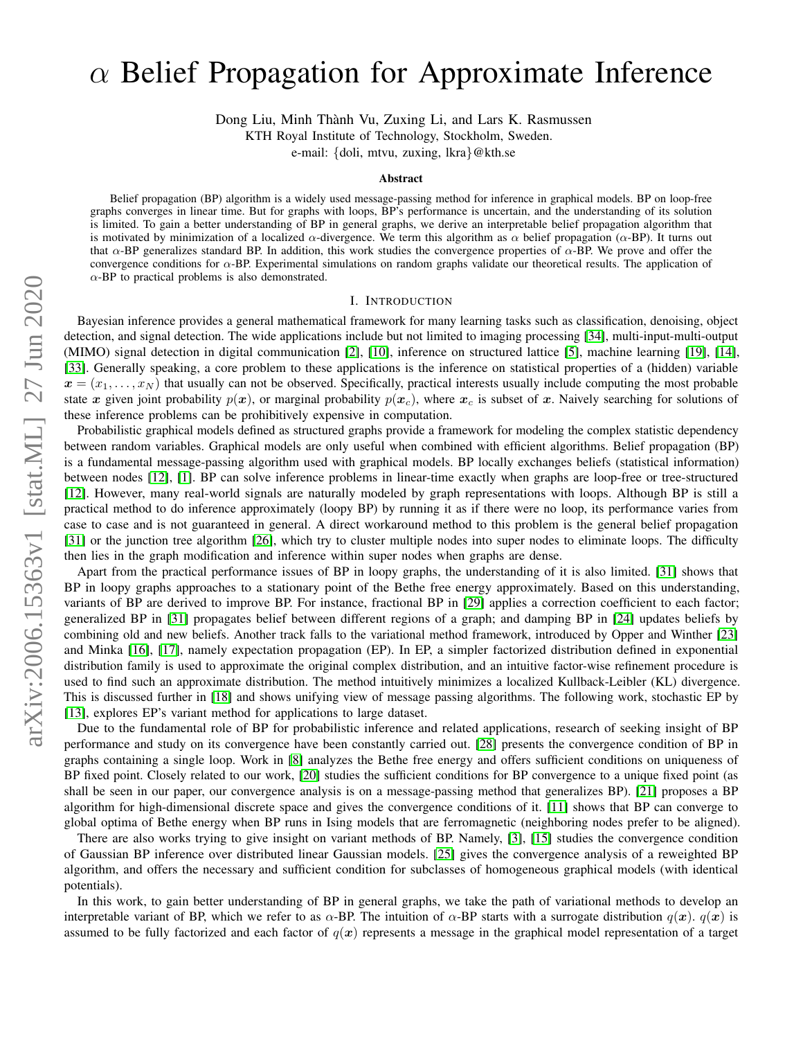# $\alpha$  Belief Propagation for Approximate Inference

Dong Liu, Minh Thành Vu, Zuxing Li, and Lars K. Rasmussen

KTH Royal Institute of Technology, Stockholm, Sweden.

e-mail: {doli, mtvu, zuxing, lkra}@kth.se

#### Abstract

Belief propagation (BP) algorithm is a widely used message-passing method for inference in graphical models. BP on loop-free graphs converges in linear time. But for graphs with loops, BP's performance is uncertain, and the understanding of its solution is limited. To gain a better understanding of BP in general graphs, we derive an interpretable belief propagation algorithm that is motivated by minimization of a localized  $\alpha$ -divergence. We term this algorithm as  $\alpha$  belief propagation ( $\alpha$ -BP). It turns out that  $\alpha$ -BP generalizes standard BP. In addition, this work studies the convergence properties of  $\alpha$ -BP. We prove and offer the convergence conditions for  $\alpha$ -BP. Experimental simulations on random graphs validate our theoretical results. The application of  $\alpha$ -BP to practical problems is also demonstrated.

## I. INTRODUCTION

Bayesian inference provides a general mathematical framework for many learning tasks such as classification, denoising, object detection, and signal detection. The wide applications include but not limited to imaging processing [\[34\]](#page-9-0), multi-input-multi-output (MIMO) signal detection in digital communication [\[2\]](#page-9-1), [\[10\]](#page-9-2), inference on structured lattice [\[5\]](#page-9-3), machine learning [\[19\]](#page-9-4), [\[14\]](#page-9-5), [\[33\]](#page-9-6). Generally speaking, a core problem to these applications is the inference on statistical properties of a (hidden) variable  $x = (x_1, \ldots, x_N)$  that usually can not be observed. Specifically, practical interests usually include computing the most probable state x given joint probability  $p(x)$ , or marginal probability  $p(x_c)$ , where  $x_c$  is subset of x. Naively searching for solutions of these inference problems can be prohibitively expensive in computation.

Probabilistic graphical models defined as structured graphs provide a framework for modeling the complex statistic dependency between random variables. Graphical models are only useful when combined with efficient algorithms. Belief propagation (BP) is a fundamental message-passing algorithm used with graphical models. BP locally exchanges beliefs (statistical information) between nodes [\[12\]](#page-9-7), [\[1\]](#page-9-8). BP can solve inference problems in linear-time exactly when graphs are loop-free or tree-structured [\[12\]](#page-9-7). However, many real-world signals are naturally modeled by graph representations with loops. Although BP is still a practical method to do inference approximately (loopy BP) by running it as if there were no loop, its performance varies from case to case and is not guaranteed in general. A direct workaround method to this problem is the general belief propagation [\[31\]](#page-9-9) or the junction tree algorithm [\[26\]](#page-9-10), which try to cluster multiple nodes into super nodes to eliminate loops. The difficulty then lies in the graph modification and inference within super nodes when graphs are dense.

Apart from the practical performance issues of BP in loopy graphs, the understanding of it is also limited. [\[31\]](#page-9-9) shows that BP in loopy graphs approaches to a stationary point of the Bethe free energy approximately. Based on this understanding, variants of BP are derived to improve BP. For instance, fractional BP in [\[29\]](#page-9-11) applies a correction coefficient to each factor; generalized BP in [\[31\]](#page-9-9) propagates belief between different regions of a graph; and damping BP in [\[24\]](#page-9-12) updates beliefs by combining old and new beliefs. Another track falls to the variational method framework, introduced by Opper and Winther [\[23\]](#page-9-13) and Minka [\[16\]](#page-9-14), [\[17\]](#page-9-15), namely expectation propagation (EP). In EP, a simpler factorized distribution defined in exponential distribution family is used to approximate the original complex distribution, and an intuitive factor-wise refinement procedure is used to find such an approximate distribution. The method intuitively minimizes a localized Kullback-Leibler (KL) divergence. This is discussed further in [\[18\]](#page-9-16) and shows unifying view of message passing algorithms. The following work, stochastic EP by [\[13\]](#page-9-17), explores EP's variant method for applications to large dataset.

Due to the fundamental role of BP for probabilistic inference and related applications, research of seeking insight of BP performance and study on its convergence have been constantly carried out. [\[28\]](#page-9-18) presents the convergence condition of BP in graphs containing a single loop. Work in [\[8\]](#page-9-19) analyzes the Bethe free energy and offers sufficient conditions on uniqueness of BP fixed point. Closely related to our work, [\[20\]](#page-9-20) studies the sufficient conditions for BP convergence to a unique fixed point (as shall be seen in our paper, our convergence analysis is on a message-passing method that generalizes BP). [\[21\]](#page-9-21) proposes a BP algorithm for high-dimensional discrete space and gives the convergence conditions of it. [\[11\]](#page-9-22) shows that BP can converge to global optima of Bethe energy when BP runs in Ising models that are ferromagnetic (neighboring nodes prefer to be aligned).

There are also works trying to give insight on variant methods of BP. Namely, [\[3\]](#page-9-23), [\[15\]](#page-9-24) studies the convergence condition of Gaussian BP inference over distributed linear Gaussian models. [\[25\]](#page-9-25) gives the convergence analysis of a reweighted BP algorithm, and offers the necessary and sufficient condition for subclasses of homogeneous graphical models (with identical potentials).

In this work, to gain better understanding of BP in general graphs, we take the path of variational methods to develop an interpretable variant of BP, which we refer to as  $\alpha$ -BP. The intuition of  $\alpha$ -BP starts with a surrogate distribution  $q(x)$ .  $q(x)$  is assumed to be fully factorized and each factor of  $q(x)$  represents a message in the graphical model representation of a target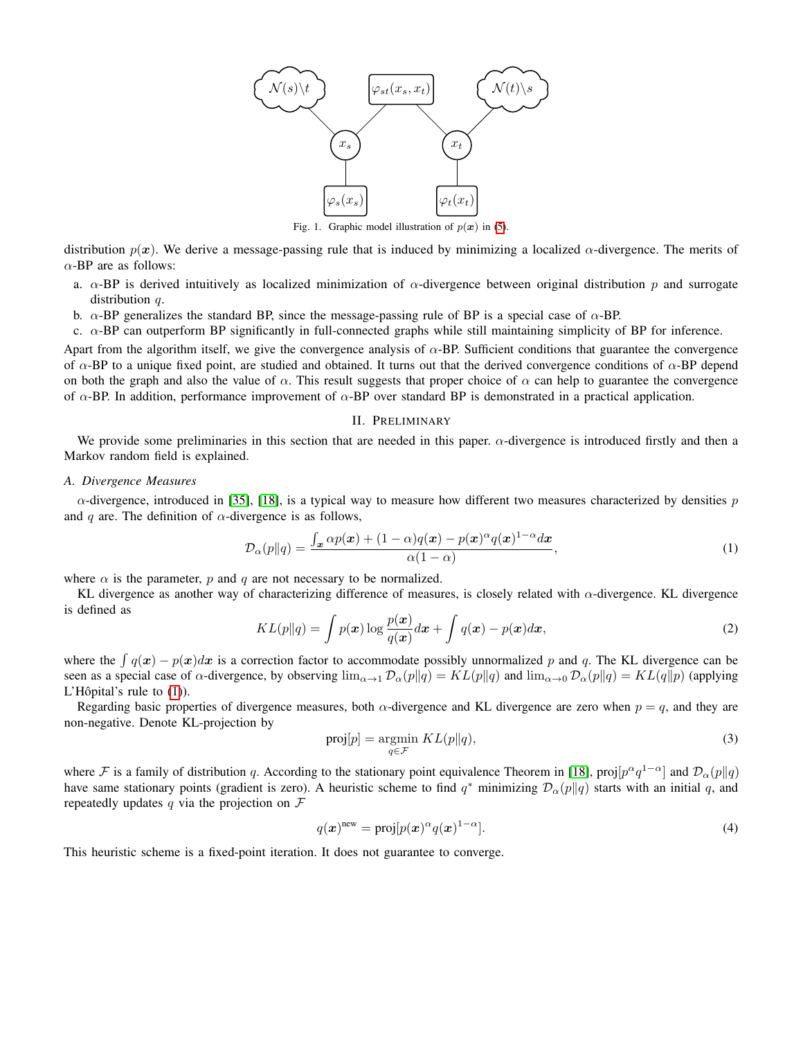

Fig. 1. Graphic model illustration of  $p(x)$  in [\(5\)](#page-2-0).

<span id="page-1-1"></span>distribution  $p(x)$ . We derive a message-passing rule that is induced by minimizing a localized  $\alpha$ -divergence. The merits of  $\alpha$ -BP are as follows:

- a.  $\alpha$ -BP is derived intuitively as localized minimization of  $\alpha$ -divergence between original distribution p and surrogate distribution  $q$ .
- b.  $\alpha$ -BP generalizes the standard BP, since the message-passing rule of BP is a special case of  $\alpha$ -BP.

c.  $\alpha$ -BP can outperform BP significantly in full-connected graphs while still maintaining simplicity of BP for inference.

Apart from the algorithm itself, we give the convergence analysis of  $\alpha$ -BP. Sufficient conditions that guarantee the convergence of  $\alpha$ -BP to a unique fixed point, are studied and obtained. It turns out that the derived convergence conditions of  $\alpha$ -BP depend on both the graph and also the value of  $\alpha$ . This result suggests that proper choice of  $\alpha$  can help to guarantee the convergence of  $\alpha$ -BP. In addition, performance improvement of  $\alpha$ -BP over standard BP is demonstrated in a practical application.

#### <span id="page-1-0"></span>II. PRELIMINARY

<span id="page-1-3"></span>We provide some preliminaries in this section that are needed in this paper.  $\alpha$ -divergence is introduced firstly and then a Markov random field is explained.

#### *A. Divergence Measures*

 $\alpha$ -divergence, introduced in [\[35\]](#page-9-26), [\[18\]](#page-9-16), is a typical way to measure how different two measures characterized by densities p and q are. The definition of  $\alpha$ -divergence is as follows,

$$
\mathcal{D}_{\alpha}(p||q) = \frac{\int_{\mathbf{x}} \alpha p(\mathbf{x}) + (1 - \alpha)q(\mathbf{x}) - p(\mathbf{x})^{\alpha} q(\mathbf{x})^{1 - \alpha} d\mathbf{x}}{\alpha(1 - \alpha)},
$$
\n(1)

where  $\alpha$  is the parameter, p and q are not necessary to be normalized.

KL divergence as another way of characterizing difference of measures, is closely related with α-divergence. KL divergence is defined as

$$
KL(p||q) = \int p(\boldsymbol{x}) \log \frac{p(\boldsymbol{x})}{q(\boldsymbol{x})} d\boldsymbol{x} + \int q(\boldsymbol{x}) - p(\boldsymbol{x}) d\boldsymbol{x}, \tag{2}
$$

where the  $\int q(x) - p(x)dx$  is a correction factor to accommodate possibly unnormalized p and q. The KL divergence can be seen as a special case of  $\alpha$ -divergence, by observing  $\lim_{\alpha\to 1} \mathcal{D}_{\alpha}(p||q) = KL(p||q)$  and  $\lim_{\alpha\to 0} \mathcal{D}_{\alpha}(p||q) = KL(q||p)$  (applying L'Hôpital's rule to  $(1)$ ).

Regarding basic properties of divergence measures, both  $\alpha$ -divergence and KL divergence are zero when  $p = q$ , and they are non-negative. Denote KL-projection by

$$
\text{proj}[p] = \underset{q \in \mathcal{F}}{\text{argmin}} \ KL(p||q),\tag{3}
$$

where F is a family of distribution q. According to the stationary point equivalence Theorem in [\[18\]](#page-9-16), proj $[p^{\alpha}q^{1-\alpha}]$  and  $\mathcal{D}_{\alpha}(p||q)$ have same stationary points (gradient is zero). A heuristic scheme to find  $q^*$  minimizing  $\mathcal{D}_{\alpha}(p||q)$  starts with an initial q, and repeatedly updates q via the projection on  $\mathcal F$ 

<span id="page-1-2"></span>
$$
q(\boldsymbol{x})^{\text{new}} = \text{proj}[p(\boldsymbol{x})^{\alpha} q(\boldsymbol{x})^{1-\alpha}].
$$
\n(4)

This heuristic scheme is a fixed-point iteration. It does not guarantee to converge.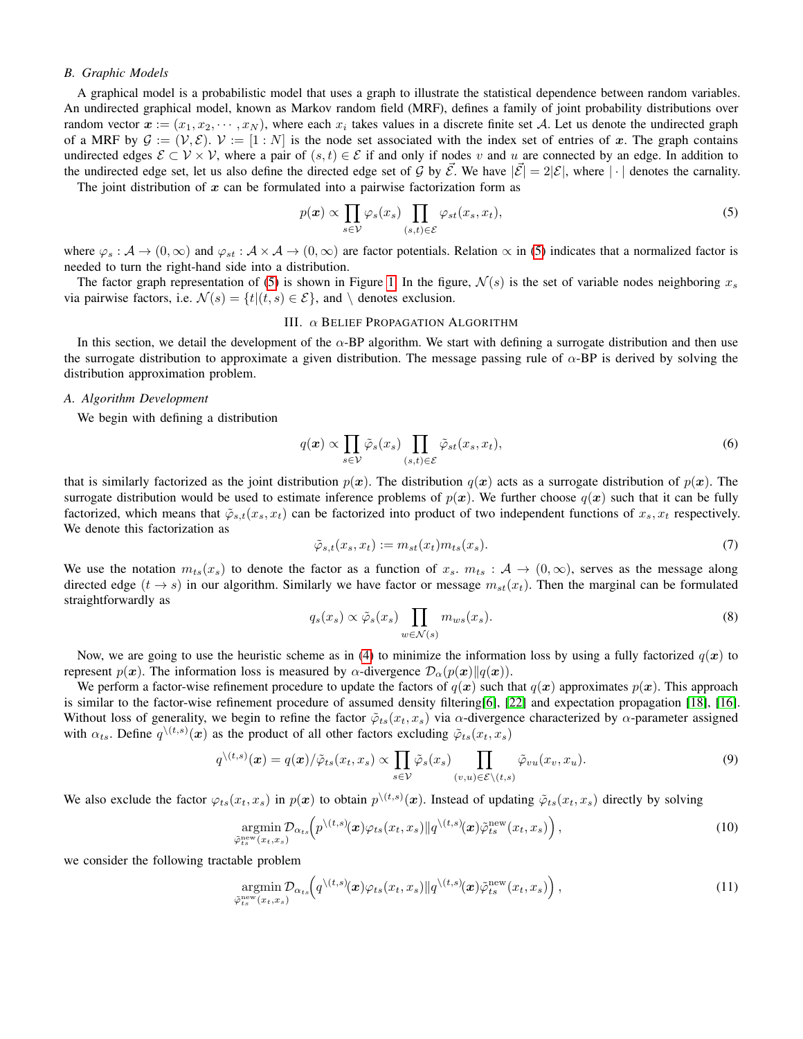## *B. Graphic Models*

A graphical model is a probabilistic model that uses a graph to illustrate the statistical dependence between random variables. An undirected graphical model, known as Markov random field (MRF), defines a family of joint probability distributions over random vector  $x:=(x_1, x_2, \cdots, x_N)$ , where each  $x_i$  takes values in a discrete finite set A. Let us denote the undirected graph of a MRF by  $\mathcal{G} := (\mathcal{V}, \mathcal{E})$ .  $\mathcal{V} := [1 : N]$  is the node set associated with the index set of entries of x. The graph contains undirected edges  $\mathcal{E} \subset \mathcal{V} \times \mathcal{V}$ , where a pair of  $(s, t) \in \mathcal{E}$  if and only if nodes v and u are connected by an edge. In addition to the undirected edge set, let us also define the directed edge set of G by  $\mathcal{E}$ . We have  $|\mathcal{E}| = 2|\mathcal{E}|$ , where  $|\cdot|$  denotes the carnality.

The joint distribution of  $x$  can be formulated into a pairwise factorization form as

<span id="page-2-0"></span>
$$
p(x) \propto \prod_{s \in \mathcal{V}} \varphi_s(x_s) \prod_{(s,t) \in \mathcal{E}} \varphi_{st}(x_s, x_t), \tag{5}
$$

where  $\varphi_s : A \to (0, \infty)$  and  $\varphi_{st} : A \times A \to (0, \infty)$  are factor potentials. Relation  $\propto$  in [\(5\)](#page-2-0) indicates that a normalized factor is needed to turn the right-hand side into a distribution.

The factor graph representation of [\(5\)](#page-2-0) is shown in Figure [1.](#page-1-1) In the figure,  $\mathcal{N}(s)$  is the set of variable nodes neighboring  $x_s$ via pairwise factors, i.e.  $\mathcal{N}(s) = \{t | (t, s) \in \mathcal{E}\}\$ , and \ denotes exclusion.

#### III. α BELIEF PROPAGATION ALGORITHM

In this section, we detail the development of the  $\alpha$ -BP algorithm. We start with defining a surrogate distribution and then use the surrogate distribution to approximate a given distribution. The message passing rule of  $\alpha$ -BP is derived by solving the distribution approximation problem.

#### *A. Algorithm Development*

We begin with defining a distribution

$$
q(\boldsymbol{x}) \propto \prod_{s \in \mathcal{V}} \tilde{\varphi}_s(x_s) \prod_{(s,t) \in \mathcal{E}} \tilde{\varphi}_{st}(x_s, x_t), \tag{6}
$$

that is similarly factorized as the joint distribution  $p(x)$ . The distribution  $q(x)$  acts as a surrogate distribution of  $p(x)$ . The surrogate distribution would be used to estimate inference problems of  $p(x)$ . We further choose  $q(x)$  such that it can be fully factorized, which means that  $\tilde{\varphi}_{s,t}(x_s, x_t)$  can be factorized into product of two independent functions of  $x_s, x_t$  respectively. We denote this factorization as

$$
\tilde{\varphi}_{s,t}(x_s, x_t) := m_{st}(x_t) m_{ts}(x_s). \tag{7}
$$

We use the notation  $m_{ts}(x_s)$  to denote the factor as a function of  $x_s$ .  $m_{ts}$ :  $\mathcal{A} \to (0,\infty)$ , serves as the message along directed edge  $(t \to s)$  in our algorithm. Similarly we have factor or message  $m_{st}(x_t)$ . Then the marginal can be formulated straightforwardly as

$$
q_s(x_s) \propto \tilde{\varphi}_s(x_s) \prod_{w \in \mathcal{N}(s)} m_{ws}(x_s).
$$
 (8)

Now, we are going to use the heuristic scheme as in [\(4\)](#page-1-2) to minimize the information loss by using a fully factorized  $q(x)$  to represent  $p(x)$ . The information loss is measured by  $\alpha$ -divergence  $\mathcal{D}_{\alpha}(p(x)||q(x))$ .

We perform a factor-wise refinement procedure to update the factors of  $q(x)$  such that  $q(x)$  approximates  $p(x)$ . This approach is similar to the factor-wise refinement procedure of assumed density filtering[\[6\]](#page-9-27), [\[22\]](#page-9-28) and expectation propagation [\[18\]](#page-9-16), [\[16\]](#page-9-14). Without loss of generality, we begin to refine the factor  $\tilde{\varphi}_{ts}(x_t, x_s)$  via  $\alpha$ -divergence characterized by  $\alpha$ -parameter assigned with  $\alpha_{ts}$ . Define  $q^{\setminus (t,s)}(x)$  as the product of all other factors excluding  $\tilde{\varphi}_{ts}(x_t, x_s)$ 

$$
q^{\setminus (t,s)}(\boldsymbol{x}) = q(\boldsymbol{x})/\tilde{\varphi}_{ts}(x_t, x_s) \propto \prod_{s \in \mathcal{V}} \tilde{\varphi}_s(x_s) \prod_{(v,u) \in \mathcal{E} \setminus (t,s)} \tilde{\varphi}_{vu}(x_v, x_u). \tag{9}
$$

We also exclude the factor  $\varphi_{ts}(x_t, x_s)$  in  $p(x)$  to obtain  $p^{\setminus (t,s)}(x)$ . Instead of updating  $\tilde{\varphi}_{ts}(x_t, x_s)$  directly by solving

$$
\underset{\tilde{\varphi}_{ts}^{\text{new}}(x_t, x_s)}{\text{argmin}} \mathcal{D}_{\alpha_{ts}}\left(p^{\setminus (t,s)}(\boldsymbol{x})\varphi_{ts}(x_t, x_s) \| q^{\setminus (t,s)}(\boldsymbol{x})\tilde{\varphi}_{ts}^{\text{new}}(x_t, x_s)\right),\tag{10}
$$

we consider the following tractable problem

<span id="page-2-1"></span>
$$
\underset{\tilde{\varphi}_{ts}^{\text{new}}(x_t, x_s)}{\text{argmin}} \mathcal{D}_{\alpha_{ts}}\left(q^{\setminus (t, s)}(\boldsymbol{x})\varphi_{ts}(x_t, x_s) \| q^{\setminus (t, s)}(\boldsymbol{x})\tilde{\varphi}_{ts}^{\text{new}}(x_t, x_s)\right),\tag{11}
$$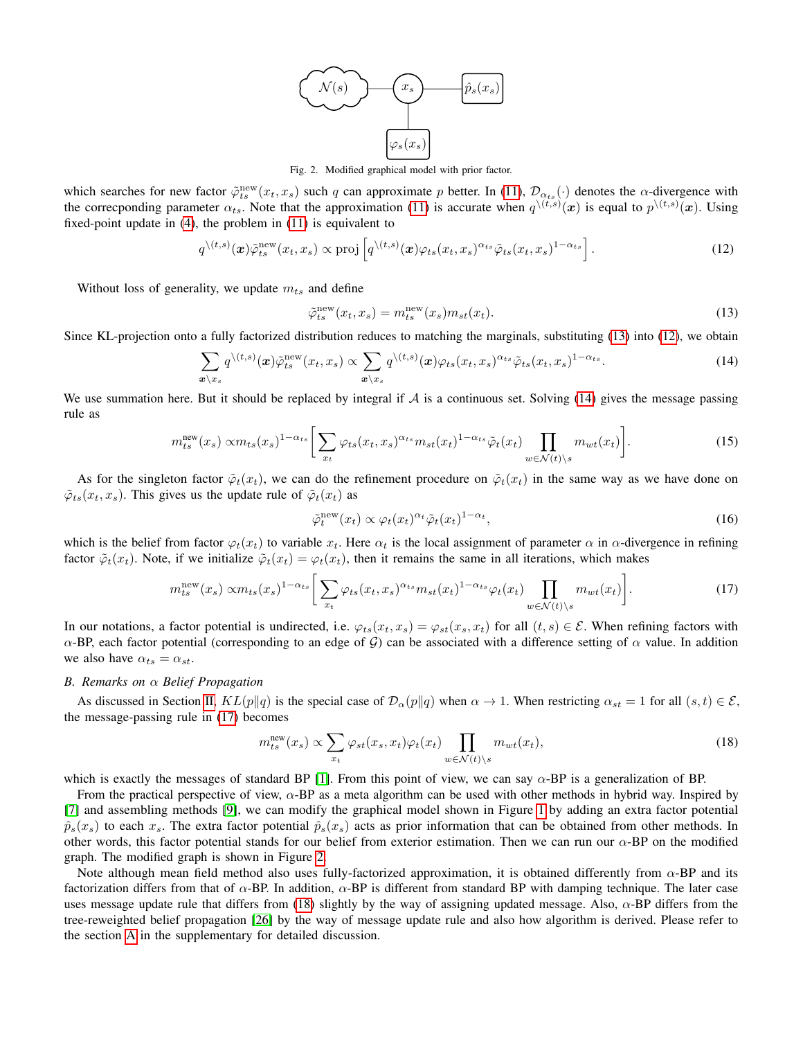

Fig. 2. Modified graphical model with prior factor.

<span id="page-3-4"></span>which searches for new factor  $\tilde{\varphi}_{ts}^{\text{new}}(x_t, x_s)$  such q can approximate p better. In [\(11\)](#page-2-1),  $\mathcal{D}_{\alpha_{ts}}(\cdot)$  denotes the  $\alpha$ -divergence with the correcponding parameter  $\alpha_{ts}$ . Note that the approximation [\(11\)](#page-2-1) is accurate when  $q^{(t,s)}(x)$  is equal to  $p^{(t,s)}(x)$ . Using fixed-point update in [\(4\)](#page-1-2), the problem in [\(11\)](#page-2-1) is equivalent to

$$
q^{\setminus (t,s)}(\boldsymbol{x})\tilde{\varphi}_{ts}^{\text{new}}(x_t, x_s) \propto \text{proj}\left[q^{\setminus (t,s)}(\boldsymbol{x})\varphi_{ts}(x_t, x_s)^{\alpha_{ts}}\tilde{\varphi}_{ts}(x_t, x_s)^{1-\alpha_{ts}}\right].\tag{12}
$$

Without loss of generality, we update  $m_{ts}$  and define

<span id="page-3-2"></span><span id="page-3-1"></span><span id="page-3-0"></span>
$$
\tilde{\varphi}_{ts}^{\text{new}}(x_t, x_s) = m_{ts}^{\text{new}}(x_s) m_{st}(x_t). \tag{13}
$$

Since KL-projection onto a fully factorized distribution reduces to matching the marginals, substituting [\(13\)](#page-3-0) into [\(12\)](#page-3-1), we obtain

$$
\sum_{\mathbf{x}\backslash x_s} q^{\backslash (t,s)}(\mathbf{x})\tilde{\varphi}_{ts}^{\text{new}}(x_t, x_s) \propto \sum_{\mathbf{x}\backslash x_s} q^{\backslash (t,s)}(\mathbf{x})\varphi_{ts}(x_t, x_s)^{\alpha_{ts}}\tilde{\varphi}_{ts}(x_t, x_s)^{1-\alpha_{ts}}.
$$
\n(14)

We use summation here. But it should be replaced by integral if  $\mathcal A$  is a continuous set. Solving [\(14\)](#page-3-2) gives the message passing rule as

$$
m_{ts}^{\text{new}}(x_s) \propto m_{ts}(x_s)^{1-\alpha_{ts}} \bigg[ \sum_{x_t} \varphi_{ts}(x_t, x_s)^{\alpha_{ts}} m_{st}(x_t)^{1-\alpha_{ts}} \tilde{\varphi}_t(x_t) \prod_{w \in \mathcal{N}(t) \backslash s} m_{wt}(x_t) \bigg]. \tag{15}
$$

As for the singleton factor  $\tilde{\varphi}_t(x_t)$ , we can do the refinement procedure on  $\tilde{\varphi}_t(x_t)$  in the same way as we have done on  $\tilde{\varphi}_{ts}(x_t, x_s)$ . This gives us the update rule of  $\tilde{\varphi}_t(x_t)$  as

<span id="page-3-3"></span>
$$
\tilde{\varphi}_t^{\text{new}}(x_t) \propto \varphi_t(x_t)^{\alpha_t} \tilde{\varphi}_t(x_t)^{1-\alpha_t},\tag{16}
$$

which is the belief from factor  $\varphi_t(x_t)$  to variable  $x_t$ . Here  $\alpha_t$  is the local assignment of parameter  $\alpha$  in  $\alpha$ -divergence in refining factor  $\tilde{\varphi}_t(x_t)$ . Note, if we initialize  $\tilde{\varphi}_t(x_t) = \varphi_t(x_t)$ , then it remains the same in all iterations, which makes

$$
m_{ts}^{\text{new}}(x_s) \propto m_{ts}(x_s)^{1-\alpha_{ts}} \bigg[ \sum_{x_t} \varphi_{ts}(x_t, x_s)^{\alpha_{ts}} m_{st}(x_t)^{1-\alpha_{ts}} \varphi_t(x_t) \prod_{w \in \mathcal{N}(t) \backslash s} m_{wt}(x_t) \bigg]. \tag{17}
$$

In our notations, a factor potential is undirected, i.e.  $\varphi_{ts}(x_t, x_s) = \varphi_{st}(x_s, x_t)$  for all  $(t, s) \in \mathcal{E}$ . When refining factors with α-BP, each factor potential (corresponding to an edge of  $G$ ) can be associated with a difference setting of  $\alpha$  value. In addition we also have  $\alpha_{ts} = \alpha_{st}$ .

#### <span id="page-3-6"></span>*B. Remarks on* α *Belief Propagation*

As discussed in Section [II,](#page-1-3)  $KL(p||q)$  is the special case of  $\mathcal{D}_{\alpha}(p||q)$  when  $\alpha \to 1$ . When restricting  $\alpha_{st} = 1$  for all  $(s, t) \in \mathcal{E}$ , the message-passing rule in [\(17\)](#page-3-3) becomes

<span id="page-3-5"></span>
$$
m_{ts}^{\text{new}}(x_s) \propto \sum_{x_t} \varphi_{st}(x_s, x_t) \varphi_t(x_t) \prod_{w \in \mathcal{N}(t) \backslash s} m_{wt}(x_t), \tag{18}
$$

which is exactly the messages of standard BP [\[1\]](#page-9-8). From this point of view, we can say  $\alpha$ -BP is a generalization of BP.

From the practical perspective of view, α-BP as a meta algorithm can be used with other methods in hybrid way. Inspired by [\[7\]](#page-9-29) and assembling methods [\[9\]](#page-9-30), we can modify the graphical model shown in Figure [1](#page-1-1) by adding an extra factor potential  $\hat{p}_s(x_s)$  to each  $x_s$ . The extra factor potential  $\hat{p}_s(x_s)$  acts as prior information that can be obtained from other methods. In other words, this factor potential stands for our belief from exterior estimation. Then we can run our  $\alpha$ -BP on the modified graph. The modified graph is shown in Figure [2.](#page-3-4)

Note although mean field method also uses fully-factorized approximation, it is obtained differently from  $\alpha$ -BP and its factorization differs from that of  $\alpha$ -BP. In addition,  $\alpha$ -BP is different from standard BP with damping technique. The later case uses message update rule that differs from [\(18\)](#page-3-5) slightly by the way of assigning updated message. Also,  $\alpha$ -BP differs from the tree-reweighted belief propagation [\[26\]](#page-9-10) by the way of message update rule and also how algorithm is derived. Please refer to the section [A](#page-10-0) in the supplementary for detailed discussion.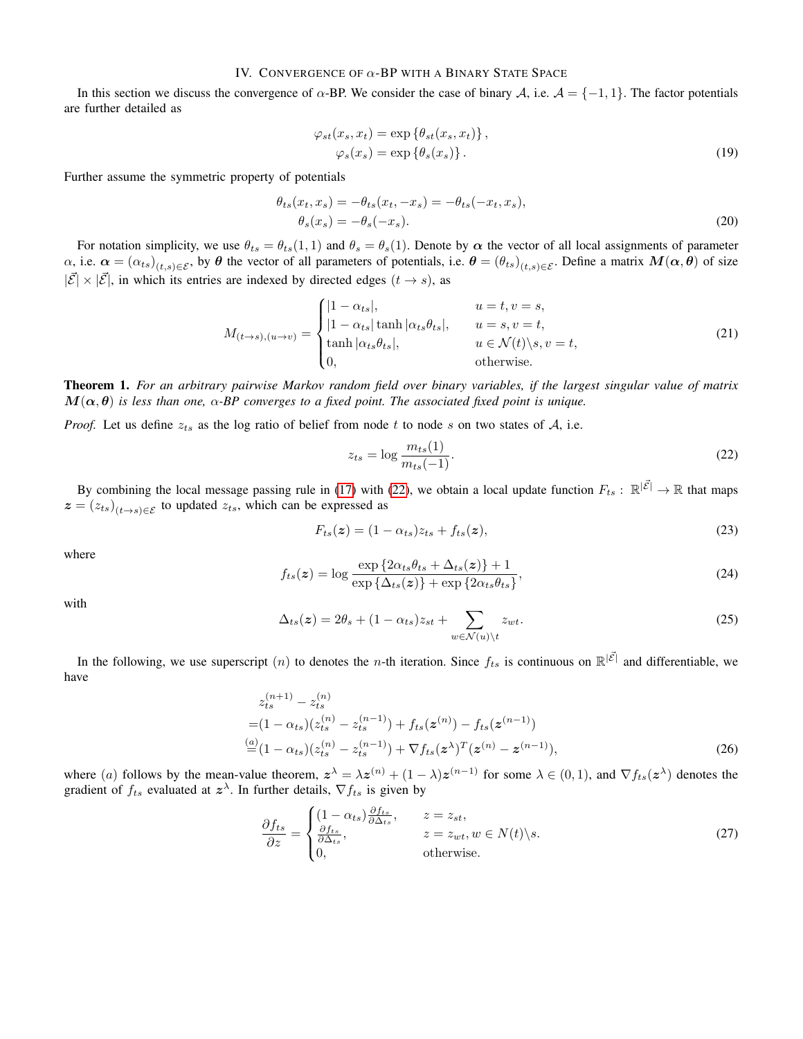# IV. CONVERGENCE OF  $\alpha$ -BP WITH A BINARY STATE SPACE

In this section we discuss the convergence of  $\alpha$ -BP. We consider the case of binary A, i.e.  $\mathcal{A} = \{-1, 1\}$ . The factor potentials are further detailed as

$$
\varphi_{st}(x_s, x_t) = \exp \{ \theta_{st}(x_s, x_t) \}, \n\varphi_s(x_s) = \exp \{ \theta_s(x_s) \}.
$$
\n(19)

Further assume the symmetric property of potentials

$$
\theta_{ts}(x_t, x_s) = -\theta_{ts}(x_t, -x_s) = -\theta_{ts}(-x_t, x_s),
$$
  
\n
$$
\theta_s(x_s) = -\theta_s(-x_s).
$$
\n(20)

For notation simplicity, we use  $\theta_{ts} = \theta_{ts}(1,1)$  and  $\theta_s = \theta_s(1)$ . Denote by  $\alpha$  the vector of all local assignments of parameter  $\alpha$ , i.e.  $\alpha = (\alpha_{ts})_{(t,s)\in\mathcal{E}}$ , by  $\theta$  the vector of all parameters of potentials, i.e.  $\theta = (\theta_{ts})_{(t,s)\in\mathcal{E}}$ . Define a matrix  $M(\alpha,\theta)$  of size  $|\vec{\mathcal{E}}| \times |\vec{\mathcal{E}}|$ , in which its entries are indexed by directed edges  $(t \rightarrow s)$ , as

$$
M_{(t \to s),(u \to v)} = \begin{cases} |1 - \alpha_{ts}|, & u = t, v = s, \\ |1 - \alpha_{ts}| \tanh |\alpha_{ts}\theta_{ts}|, & u = s, v = t, \\ \tanh |\alpha_{ts}\theta_{ts}|, & u \in \mathcal{N}(t) \setminus s, v = t, \\ 0, & \text{otherwise.} \end{cases}
$$
(21)

<span id="page-4-5"></span>Theorem 1. *For an arbitrary pairwise Markov random field over binary variables, if the largest singular value of matrix*  $M(\alpha, \theta)$  is less than one,  $\alpha$ -BP converges to a fixed point. The associated fixed point is unique.

*Proof.* Let us define  $z_{ts}$  as the log ratio of belief from node t to node s on two states of A, i.e.

<span id="page-4-4"></span><span id="page-4-3"></span><span id="page-4-0"></span>
$$
z_{ts} = \log \frac{m_{ts}(1)}{m_{ts}(-1)}.\tag{22}
$$

By combining the local message passing rule in [\(17\)](#page-3-3) with [\(22\)](#page-4-0), we obtain a local update function  $F_{ts}$ :  $\mathbb{R}^{|\vec{\mathcal{E}}|} \to \mathbb{R}$  that maps  $z = (z_{ts})_{(t \to s) \in \mathcal{E}}$  to updated  $z_{ts}$ , which can be expressed as

<span id="page-4-1"></span>
$$
F_{ts}(z) = (1 - \alpha_{ts})z_{ts} + f_{ts}(z),\tag{23}
$$

where

$$
f_{ts}(z) = \log \frac{\exp \{2\alpha_{ts}\theta_{ts} + \Delta_{ts}(z)\} + 1}{\exp \{\Delta_{ts}(z)\} + \exp \{2\alpha_{ts}\theta_{ts}\}},
$$
\n(24)

with

$$
\Delta_{ts}(z) = 2\theta_s + (1 - \alpha_{ts})z_{st} + \sum_{w \in \mathcal{N}(u) \setminus t} z_{wt}.
$$
\n(25)

In the following, we use superscript  $(n)$  to denotes the *n*-th iteration. Since  $f_{ts}$  is continuous on  $\mathbb{R}^{|\vec{\mathcal{E}}|}$  and differentiable, we have

$$
z_{ts}^{(n+1)} - z_{ts}^{(n)}
$$
  
=  $(1 - \alpha_{ts})(z_{ts}^{(n)} - z_{ts}^{(n-1)}) + f_{ts}(\mathbf{z}^{(n)}) - f_{ts}(\mathbf{z}^{(n-1)})$   

$$
\stackrel{(a)}{=} (1 - \alpha_{ts})(z_{ts}^{(n)} - z_{ts}^{(n-1)}) + \nabla f_{ts}(\mathbf{z}^{\lambda})^T (\mathbf{z}^{(n)} - \mathbf{z}^{(n-1)}),
$$
 (26)

where (a) follows by the mean-value theorem,  $z^{\lambda} = \lambda z^{(n)} + (1 - \lambda)z^{(n-1)}$  for some  $\lambda \in (0,1)$ , and  $\nabla f_{ts}(z^{\lambda})$  denotes the gradient of  $f_{ts}$  evaluated at  $z^{\lambda}$ . In further details,  $\nabla f_{ts}$  is given by

<span id="page-4-2"></span>
$$
\frac{\partial f_{ts}}{\partial z} = \begin{cases}\n(1 - \alpha_{ts}) \frac{\partial f_{ts}}{\partial \Delta_{ts}}, & z = z_{st}, \\
\frac{\partial f_{ts}}{\partial \Delta_{ts}}, & z = z_{wt}, w \in N(t) \setminus s. \\
0, & \text{otherwise.} \n\end{cases}
$$
\n(27)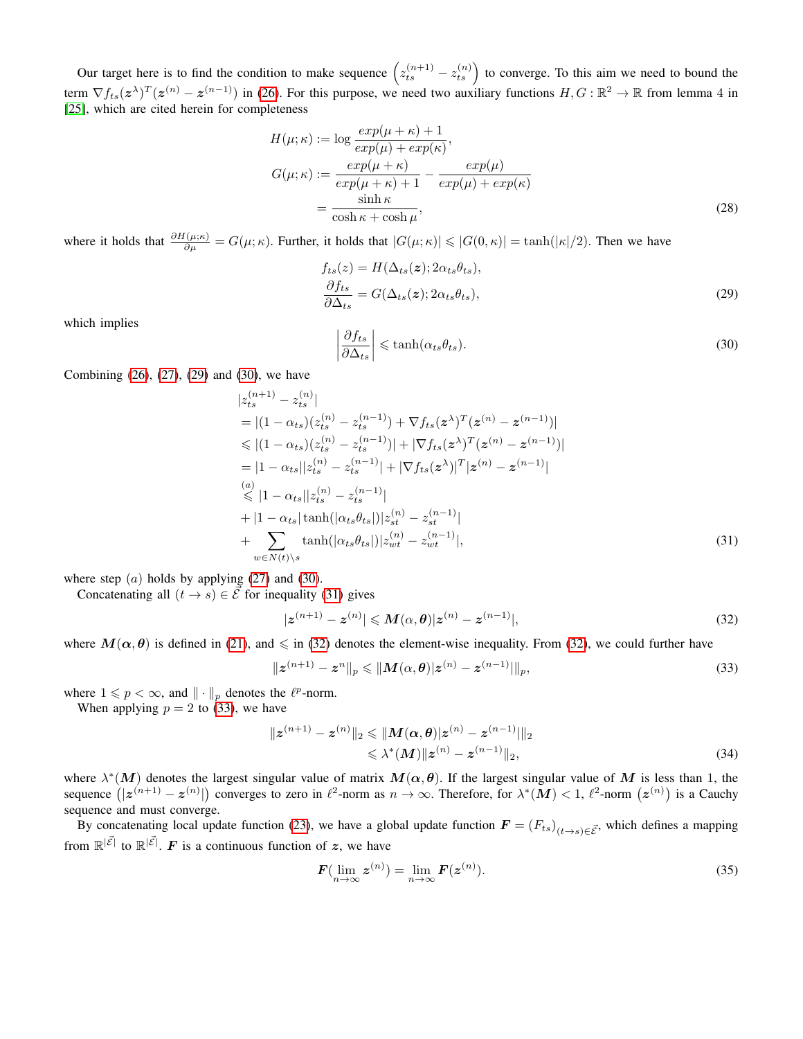Our target here is to find the condition to make sequence  $(z_{ts}^{(n+1)} - z_{ts}^{(n)})$  to converge. To this aim we need to bound the term  $\nabla f_{ts}(z^{\lambda})^T (z^{(n)} - z^{(n-1)})$  in [\(26\)](#page-4-1). For this purpose, we need two auxiliary functions  $H, G : \mathbb{R}^2 \to \mathbb{R}$  from lemma 4 in [\[25\]](#page-9-25), which are cited herein for completeness

$$
H(\mu; \kappa) := \log \frac{\exp(\mu + \kappa) + 1}{\exp(\mu) + \exp(\kappa)},
$$
  
\n
$$
G(\mu; \kappa) := \frac{\exp(\mu + \kappa)}{\exp(\mu + \kappa) + 1} - \frac{\exp(\mu)}{\exp(\mu) + \exp(\kappa)}
$$
  
\n
$$
= \frac{\sinh \kappa}{\cosh \kappa + \cosh \mu},
$$
\n(28)

where it holds that  $\frac{\partial H(\mu;\kappa)}{\partial \mu} = G(\mu;\kappa)$ . Further, it holds that  $|G(\mu;\kappa)| \leq |G(0,\kappa)| = \tanh(|\kappa|/2)$ . Then we have  $= H(\Lambda, (\star) \cdot 2\alpha)$ 

$$
f_{ts}(z) = H(\Delta_{ts}(z); 2\alpha_{ts}\theta_{ts}),
$$
  
\n
$$
\frac{\partial f_{ts}}{\partial \Delta_{ts}} = G(\Delta_{ts}(z); 2\alpha_{ts}\theta_{ts}),
$$
\n(29)

<span id="page-5-1"></span>which implies 

<span id="page-5-2"></span><span id="page-5-0"></span>
$$
\left|\frac{\partial f_{ts}}{\partial \Delta_{ts}}\right| \leq \tanh(\alpha_{ts}\theta_{ts}).\tag{30}
$$

Combining [\(26\)](#page-4-1), [\(27\)](#page-4-2), [\(29\)](#page-5-0) and [\(30\)](#page-5-1), we have

$$
|z_{ts}^{(n+1)} - z_{ts}^{(n)}|
$$
  
\n
$$
= |(1 - \alpha_{ts})(z_{ts}^{(n)} - z_{ts}^{(n-1)}) + \nabla f_{ts}(z^{\lambda})^{T} (z^{(n)} - z^{(n-1)})|
$$
  
\n
$$
\leq |(1 - \alpha_{ts})(z_{ts}^{(n)} - z_{ts}^{(n-1)})| + |\nabla f_{ts}(z^{\lambda})^{T} (z^{(n)} - z^{(n-1)})|
$$
  
\n
$$
= |1 - \alpha_{ts}| |z_{ts}^{(n)} - z_{ts}^{(n-1)}| + |\nabla f_{ts}(z^{\lambda})|^{T} |z^{(n)} - z^{(n-1)}|
$$
  
\n
$$
\leq |1 - \alpha_{ts}| |z_{ts}^{(n)} - z_{ts}^{(n-1)}|
$$
  
\n
$$
+ |1 - \alpha_{ts}| \tanh(|\alpha_{ts}\theta_{ts}|) |z_{st}^{(n)} - z_{st}^{(n-1)}|
$$
  
\n
$$
+ \sum_{w \in N(t) \backslash s} \tanh(|\alpha_{ts}\theta_{ts}|) |z_{wt}^{(n)} - z_{wt}^{(n-1)}|,
$$
  
\n(31)

where step  $(a)$  holds by applying  $(27)$  and  $(30)$ .

Concatenating all  $(t \rightarrow s) \in \mathcal{E}$  for inequality [\(31\)](#page-5-2) gives

<span id="page-5-4"></span><span id="page-5-3"></span>
$$
|z^{(n+1)} - z^{(n)}| \leq M(\alpha, \theta)|z^{(n)} - z^{(n-1)}|,
$$
\n(32)

where  $M(\alpha, \theta)$  is defined in [\(21\)](#page-4-3), and  $\leq$  in [\(32\)](#page-5-3) denotes the element-wise inequality. From (32), we could further have

$$
\|z^{(n+1)} - z^n\|_p \le \|M(\alpha, \theta)|z^{(n)} - z^{(n-1)}\|_p,
$$
\n(33)

where  $1 \leq p < \infty$ , and  $\| \cdot \|_p$  denotes the  $\ell^p$ -norm.

When applying  $p = 2$  to [\(33\)](#page-5-4), we have

$$
||z^{(n+1)} - z^{(n)}||_2 \le ||M(\alpha, \theta)|z^{(n)} - z^{(n-1)}||_2
$$
  
\$\le \lambda^\*(M)||z^{(n)} - z^{(n-1)}||\_2\$, \t(34)

where  $\lambda^*(M)$  denotes the largest singular value of matrix  $M(\alpha, \theta)$ . If the largest singular value of M is less than 1, the sequence  $(|z^{(n+1)} - z^{(n)}|)$  converges to zero in  $\ell^2$ -norm as  $n \to \infty$ . Therefore, for  $\lambda^*(M) < 1$ ,  $\ell^2$ -norm  $(z^{(n)})$  is a Cauchy sequence and must converge.

By concatenating local update function [\(23\)](#page-4-4), we have a global update function  $F = (F_{ts})_{(t \to s) \in \vec{E}}$ , which defines a mapping from  $\mathbb{R}^{|\vec{\mathcal{E}}|}$  to  $\mathbb{R}^{|\vec{\mathcal{E}}|}$ . F is a continuous function of z, we have

<span id="page-5-5"></span>
$$
\boldsymbol{F}(\lim_{n\to\infty}\boldsymbol{z}^{(n)}) = \lim_{n\to\infty}\boldsymbol{F}(\boldsymbol{z}^{(n)}).
$$
\n(35)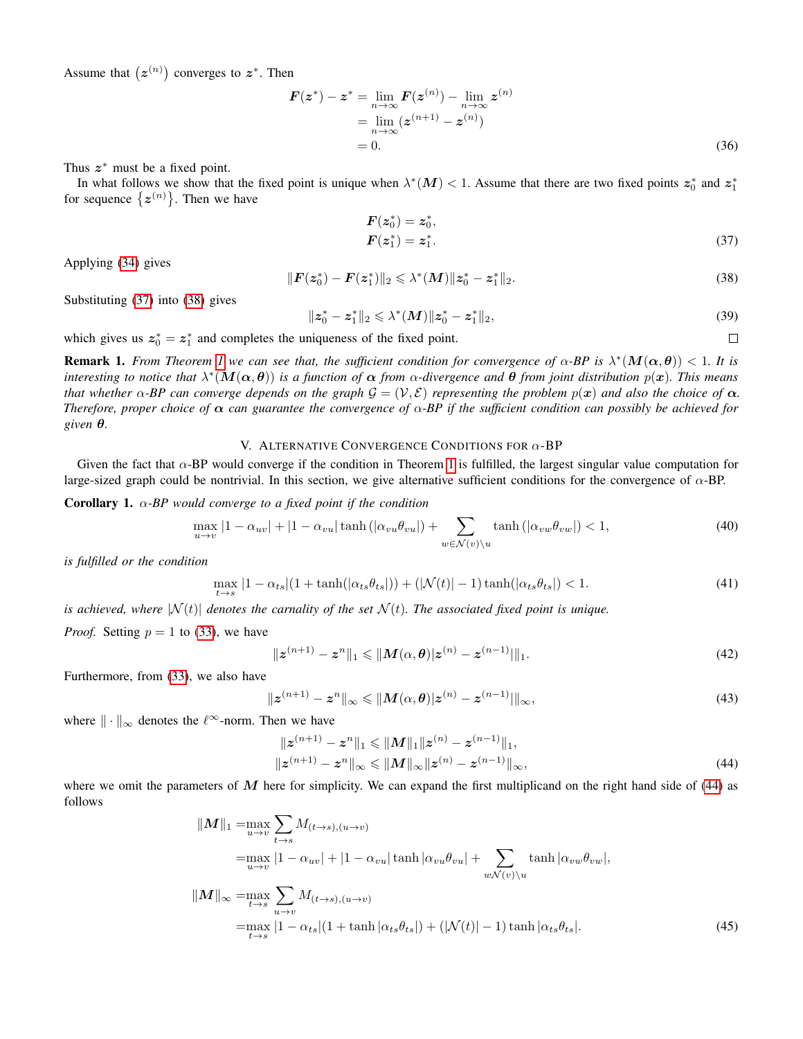Assume that  $(z^{(n)})$  converges to  $z^*$ . Then

$$
F(z^*) - z^* = \lim_{n \to \infty} F(z^{(n)}) - \lim_{n \to \infty} z^{(n)}
$$
  
= 
$$
\lim_{n \to \infty} (z^{(n+1)} - z^{(n)})
$$
  
= 0. (36)

Thus  $z^*$  must be a fixed point.

In what follows we show that the fixed point is unique when  $\lambda^*(M) < 1$ . Assume that there are two fixed points  $z_0^*$  and  $z_1^*$ for sequence  $\{z^{(n)}\}$ . Then we have

$$
F(z_0^*) = z_0^*, F(z_1^*) = z_1^*.
$$
 (37)

<span id="page-6-2"></span><span id="page-6-0"></span> $\Box$ 

<span id="page-6-1"></span>Applying [\(34\)](#page-5-5) gives

$$
||F(z_0^*) - F(z_1^*)||_2 \le \lambda^*(M) ||z_0^* - z_1^*||_2.
$$
\n(38)

Substituting [\(37\)](#page-6-0) into [\(38\)](#page-6-1) gives

$$
||z_0^*-z_1^*||_2 \leq \lambda^*(M)||z_0^*-z_1^*||_2,
$$
\n(39)

which gives us  $z_0^* = z_1^*$  and completes the uniqueness of the fixed point.

**Remark [1](#page-4-5).** From Theorem 1 we can see that, the sufficient condition for convergence of  $\alpha$ -BP is  $\lambda^*(M(\alpha,\theta)) < 1$ . It is *interesting to notice that* λ ∗ (M(α, θ)) *is a function of* α *from* α*-divergence and* θ *from joint distribution* p(x)*. This means that whether*  $\alpha$ -*BP* can converge depends on the graph  $\mathcal{G} = (\mathcal{V}, \mathcal{E})$  *representing the problem*  $p(x)$  *and also the choice of*  $\alpha$ *. Therefore, proper choice of*  $\alpha$  *can guarantee the convergence of*  $\alpha$ -*BP if the sufficient condition can possibly be achieved for given* θ*.*

## V. ALTERNATIVE CONVERGENCE CONDITIONS FOR  $\alpha$ -BP

Given the fact that  $\alpha$ -BP would converge if the condition in Theorem [1](#page-4-5) is fulfilled, the largest singular value computation for large-sized graph could be nontrivial. In this section, we give alternative sufficient conditions for the convergence of  $\alpha$ -BP.

Corollary 1. α*-BP would converge to a fixed point if the condition*

$$
\max_{u \to v} |1 - \alpha_{uv}| + |1 - \alpha_{vu}|\tanh(|\alpha_{vu}\theta_{vu}|) + \sum_{w \in \mathcal{N}(v)\setminus u} \tanh(|\alpha_{vw}\theta_{vw}|) < 1,\tag{40}
$$

*is fulfilled or the condition*

$$
\max_{t \to s} |1 - \alpha_{ts}| (1 + \tanh(|\alpha_{ts}\theta_{ts}|)) + (|\mathcal{N}(t)| - 1)\tanh(|\alpha_{ts}\theta_{ts}|) < 1. \tag{41}
$$

*is achieved, where*  $|\mathcal{N}(t)|$  *denotes the carnality of the set*  $\mathcal{N}(t)$ *. The associated fixed point is unique.* 

*Proof.* Setting  $p = 1$  to [\(33\)](#page-5-4), we have

$$
\|z^{(n+1)} - z^n\|_1 \le \|M(\alpha, \theta)|z^{(n)} - z^{(n-1)}\|_1.
$$
\n(42)

Furthermore, from [\(33\)](#page-5-4), we also have

$$
\|z^{(n+1)} - z^n\|_{\infty} \le \|M(\alpha, \theta)|z^{(n)} - z^{(n-1)}\|_{\infty},
$$
\n(43)

where  $\|\cdot\|_{\infty}$  denotes the  $\ell^{\infty}$ -norm. Then we have

$$
||z^{(n+1)} - z^n||_1 \le ||M||_1 ||z^{(n)} - z^{(n-1)}||_1,
$$
  
\n
$$
||z^{(n+1)} - z^n||_{\infty} \le ||M||_{\infty} ||z^{(n)} - z^{(n-1)}||_{\infty},
$$
\n(44)

where we omit the parameters of  $M$  here for simplicity. We can expand the first multiplicand on the right hand side of [\(44\)](#page-6-2) as follows

$$
\|M\|_{1} = \max_{u \to v} \sum_{t \to s} M_{(t \to s), (u \to v)}
$$
  
\n
$$
= \max_{u \to v} |1 - \alpha_{uv}| + |1 - \alpha_{vu}| \tanh |\alpha_{vu} \theta_{vu}| + \sum_{w \mathcal{N}(v) \setminus u} \tanh |\alpha_{vw} \theta_{vw}|,
$$
  
\n
$$
\|M\|_{\infty} = \max_{t \to s} \sum_{u \to v} M_{(t \to s), (u \to v)}
$$
  
\n
$$
= \max_{t \to s} |1 - \alpha_{ts}| (1 + \tanh |\alpha_{ts} \theta_{ts}|) + (|\mathcal{N}(t)| - 1) \tanh |\alpha_{ts} \theta_{ts}|.
$$
 (45)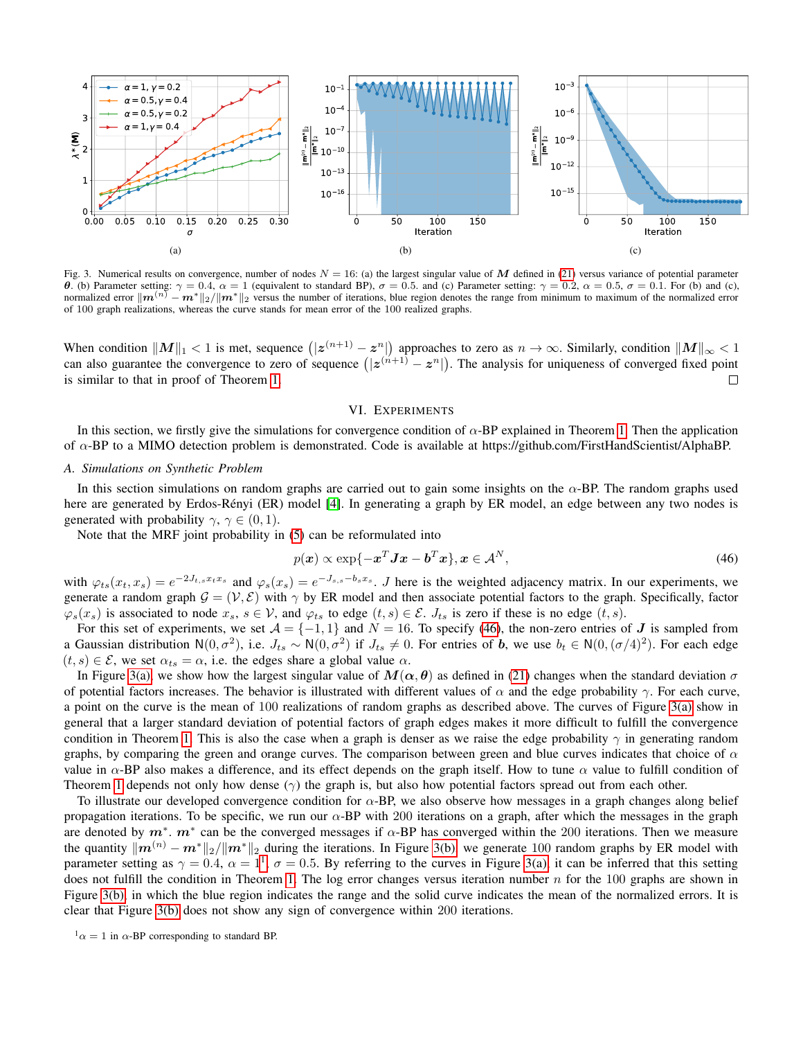<span id="page-7-1"></span>

Fig. 3. Numerical results on convergence, number of nodes  $N = 16$ : (a) the largest singular value of M defined in [\(21\)](#page-4-3) versus variance of potential parameter  $\theta$ **.** (b) Parameter setting:  $\gamma = 0.4$ ,  $\alpha = 1$  (equivalent to standard BP),  $\sigma = 0.5$ . and (c) Parameter setting:  $\gamma = 0.2$ ,  $\alpha = 0.5$ ,  $\sigma = 0.1$ . For (b) and (c), normalized error  $\|\mathbf{m}^{(n)} - \mathbf{m}^*\|_2 / \|\mathbf{m}^*\|_2$ of 100 graph realizations, whereas the curve stands for mean error of the 100 realized graphs.

When condition  $\|M\|_1 < 1$  is met, sequence  $(|z^{(n+1)} - z^n|)$  approaches to zero as  $n \to \infty$ . Similarly, condition  $\|M\|_\infty < 1$ can also guarantee the convergence to zero of sequence  $(|z^{(n+1)} - z^n|)$ . The analysis for uniqueness of converged fixed point is similar to that in proof of Theorem [1.](#page-4-5)  $\Box$ 

## <span id="page-7-4"></span><span id="page-7-2"></span><span id="page-7-0"></span>VI. EXPERIMENTS

In this section, we firstly give the simulations for convergence condition of  $\alpha$ -BP explained in Theorem [1.](#page-4-5) Then the application of α-BP to a MIMO detection problem is demonstrated. Code is available at https://github.com/FirstHandScientist/AlphaBP.

#### *A. Simulations on Synthetic Problem*

In this section simulations on random graphs are carried out to gain some insights on the  $\alpha$ -BP. The random graphs used here are generated by Erdos-Rényi (ER) model [[4\]](#page-9-31). In generating a graph by ER model, an edge between any two nodes is generated with probability  $\gamma$ ,  $\gamma \in (0,1)$ .

Note that the MRF joint probability in [\(5\)](#page-2-0) can be reformulated into

$$
p(\boldsymbol{x}) \propto \exp\{-\boldsymbol{x}^T \boldsymbol{J} \boldsymbol{x} - \boldsymbol{b}^T \boldsymbol{x}\}, \boldsymbol{x} \in \mathcal{A}^N,
$$
\n<sup>(46)</sup>

with  $\varphi_{ts}(x_t, x_s) = e^{-2J_{t,s}x_t x_s}$  and  $\varphi_s(x_s) = e^{-J_{s,s}-b_s x_s}$ . *J* here is the weighted adjacency matrix. In our experiments, we generate a random graph  $G = (V, E)$  with  $\gamma$  by ER model and then associate potential factors to the graph. Specifically, factor  $\varphi_s(x_s)$  is associated to node  $x_s$ ,  $s \in V$ , and  $\varphi_{ts}$  to edge  $(t, s) \in \mathcal{E}$ .  $J_{ts}$  is zero if these is no edge  $(t, s)$ .

For this set of experiments, we set  $A = \{-1, 1\}$  and  $N = 16$ . To specify [\(46\)](#page-7-0), the non-zero entries of J is sampled from a Gaussian distribution  $N(0, \sigma^2)$ , i.e.  $J_{ts} \sim N(0, \sigma^2)$  if  $J_{ts} \neq 0$ . For entries of b, we use  $b_t \in N(0, (\sigma/4)^2)$ . For each edge  $(t, s) \in \mathcal{E}$ , we set  $\alpha_{ts} = \alpha$ , i.e. the edges share a global value  $\alpha$ .

In Figure [3\(a\),](#page-7-1) we show how the largest singular value of  $M(\alpha, \theta)$  as defined in [\(21\)](#page-4-3) changes when the standard deviation  $\sigma$ of potential factors increases. The behavior is illustrated with different values of  $\alpha$  and the edge probability  $\gamma$ . For each curve, a point on the curve is the mean of 100 realizations of random graphs as described above. The curves of Figure [3\(a\)](#page-7-1) show in general that a larger standard deviation of potential factors of graph edges makes it more difficult to fulfill the convergence condition in Theorem [1.](#page-4-5) This is also the case when a graph is denser as we raise the edge probability  $\gamma$  in generating random graphs, by comparing the green and orange curves. The comparison between green and blue curves indicates that choice of  $\alpha$ value in  $\alpha$ -BP also makes a difference, and its effect depends on the graph itself. How to tune  $\alpha$  value to fulfill condition of Theorem [1](#page-4-5) depends not only how dense  $(\gamma)$  the graph is, but also how potential factors spread out from each other.

To illustrate our developed convergence condition for  $\alpha$ -BP, we also observe how messages in a graph changes along belief propagation iterations. To be specific, we run our  $\alpha$ -BP with 200 iterations on a graph, after which the messages in the graph are denoted by  $m^*$ .  $m^*$  can be the converged messages if  $\alpha$ -BP has converged within the 200 iterations. Then we measure the quantity  $\|\mathbf{m}^{(n)} - \mathbf{m}^*\|_2 / \|\mathbf{m}^*\|_2$  during the iterations. In Figure [3\(b\),](#page-7-2) we generate 100 random graphs by ER model with parameter setting as  $\gamma = 0.4$ ,  $\alpha = 1^1$  $\alpha = 1^1$  $\alpha = 1^1$ ,  $\sigma = 0.5$ . By referring to the curves in Figure [3\(a\),](#page-7-1) it can be inferred that this setting does not fulfill the condition in Theorem [1.](#page-4-5) The log error changes versus iteration number  $n$  for the 100 graphs are shown in Figure [3\(b\),](#page-7-2) in which the blue region indicates the range and the solid curve indicates the mean of the normalized errors. It is clear that Figure [3\(b\)](#page-7-2) does not show any sign of convergence within 200 iterations.

<span id="page-7-3"></span> $\alpha$  = 1 in  $\alpha$ -BP corresponding to standard BP.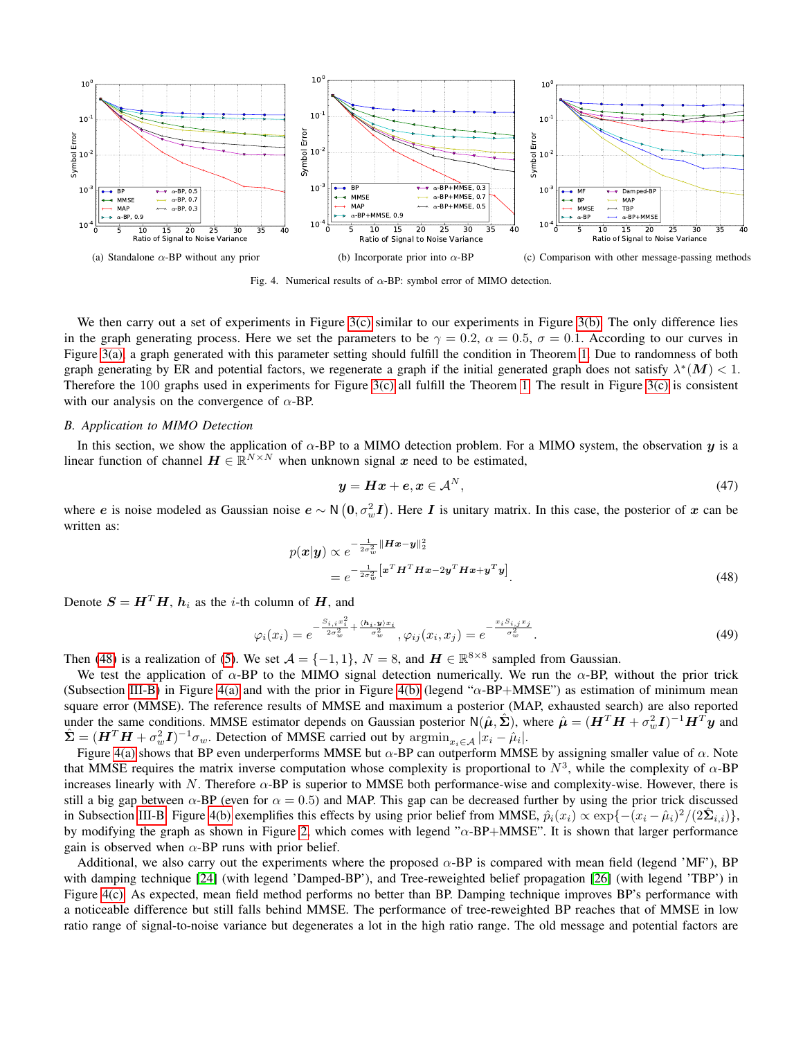<span id="page-8-1"></span>

<span id="page-8-3"></span><span id="page-8-2"></span>Fig. 4. Numerical results of  $\alpha$ -BP: symbol error of MIMO detection.

We then carry out a set of experiments in Figure [3\(c\)](#page-7-4) similar to our experiments in Figure [3\(b\).](#page-7-2) The only difference lies in the graph generating process. Here we set the parameters to be  $\gamma = 0.2$ ,  $\alpha = 0.5$ ,  $\sigma = 0.1$ . According to our curves in Figure [3\(a\),](#page-7-1) a graph generated with this parameter setting should fulfill the condition in Theorem [1.](#page-4-5) Due to randomness of both graph generating by ER and potential factors, we regenerate a graph if the initial generated graph does not satisfy  $\lambda^*(M) < 1$ . Therefore the 100 graphs used in experiments for Figure [3\(c\)](#page-7-4) all fulfill the Theorem [1.](#page-4-5) The result in Figure [3\(c\)](#page-7-4) is consistent with our analysis on the convergence of  $\alpha$ -BP.

### *B. Application to MIMO Detection*

In this section, we show the application of  $\alpha$ -BP to a MIMO detection problem. For a MIMO system, the observation y is a linear function of channel  $\mathbf{H} \in \mathbb{R}^{N \times N}$  when unknown signal x need to be estimated,

<span id="page-8-0"></span>
$$
y = Hx + e, x \in A^N, \tag{47}
$$

where e is noise modeled as Gaussian noise  $e \sim N(0, \sigma_w^2 I)$ . Here I is unitary matrix. In this case, the posterior of x can be written as:

$$
p(\boldsymbol{x}|\boldsymbol{y}) \propto e^{-\frac{1}{2\sigma_w^2} \|\boldsymbol{H}\boldsymbol{x} - \boldsymbol{y}\|_2^2}
$$
  
= 
$$
e^{-\frac{1}{2\sigma_w^2} \left[\boldsymbol{x}^T \boldsymbol{H}^T \boldsymbol{H}\boldsymbol{x} - 2\boldsymbol{y}^T \boldsymbol{H}\boldsymbol{x} + \boldsymbol{y}^T \boldsymbol{y}\right]}.
$$
 (48)

Denote  $S = H<sup>T</sup>H$ ,  $h<sub>i</sub>$  as the *i*-th column of H, and

$$
\varphi_i(x_i) = e^{-\frac{S_{i,i}x_i^2}{2\sigma_w^2} + \frac{(h_i, y)x_i}{\sigma_w^2}}, \varphi_{ij}(x_i, x_j) = e^{-\frac{x_i S_{i,j}x_j}{\sigma_w^2}}.
$$
\n(49)

Then [\(48\)](#page-8-0) is a realization of [\(5\)](#page-2-0). We set  $A = \{-1, 1\}$ ,  $N = 8$ , and  $H \in \mathbb{R}^{8 \times 8}$  sampled from Gaussian.

We test the application of  $\alpha$ -BP to the MIMO signal detection numerically. We run the  $\alpha$ -BP, without the prior trick (Subsection [III-B\)](#page-3-6) in Figure [4\(a\)](#page-8-1) and with the prior in Figure [4\(b\)](#page-8-2) (legend " $\alpha$ -BP+MMSE") as estimation of minimum mean square error (MMSE). The reference results of MMSE and maximum a posterior (MAP, exhausted search) are also reported under the same conditions. MMSE estimator depends on Gaussian posterior  $N(\hat{\mu}, \hat{\Sigma})$ , where  $\hat{\mu} = (H^T H + \sigma_w^2 I)^{-1} H^T y$  and  $\hat{\Sigma} = (H^T H + \sigma_w^2 I)^{-1} \sigma_w$ . Detection of MMSE carried out by  $\operatorname{argmin}_{x_i \in A} |x_i - \hat{\mu}_i|$ .

Figure [4\(a\)](#page-8-1) shows that BP even underperforms MMSE but  $\alpha$ -BP can outperform MMSE by assigning smaller value of  $\alpha$ . Note that MMSE requires the matrix inverse computation whose complexity is proportional to  $N^3$ , while the complexity of  $\alpha$ -BP increases linearly with N. Therefore  $\alpha$ -BP is superior to MMSE both performance-wise and complexity-wise. However, there is still a big gap between  $\alpha$ -BP (even for  $\alpha = 0.5$ ) and MAP. This gap can be decreased further by using the prior trick discussed in Subsection [III-B.](#page-3-6) Figure [4\(b\)](#page-8-2) exemplifies this effects by using prior belief from MMSE,  $\hat{p}_i(x_i) \propto \exp\{-\left(x_i - \hat{\mu}_i\right)^2 / (2\hat{\Sigma}_{i,i})\},$ by modifying the graph as shown in Figure [2,](#page-3-4) which comes with legend " $\alpha$ -BP+MMSE". It is shown that larger performance gain is observed when  $\alpha$ -BP runs with prior belief.

Additional, we also carry out the experiments where the proposed  $\alpha$ -BP is compared with mean field (legend 'MF'), BP with damping technique [\[24\]](#page-9-12) (with legend 'Damped-BP'), and Tree-reweighted belief propagation [\[26\]](#page-9-10) (with legend 'TBP') in Figure [4\(c\).](#page-8-3) As expected, mean field method performs no better than BP. Damping technique improves BP's performance with a noticeable difference but still falls behind MMSE. The performance of tree-reweighted BP reaches that of MMSE in low ratio range of signal-to-noise variance but degenerates a lot in the high ratio range. The old message and potential factors are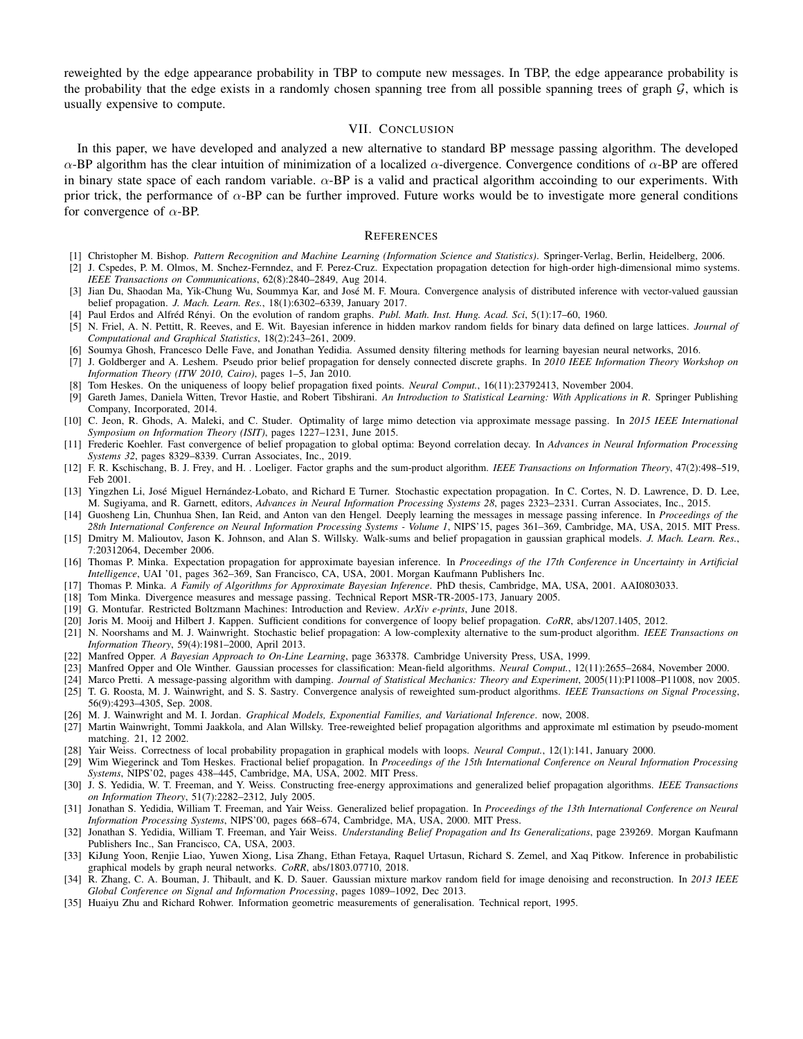reweighted by the edge appearance probability in TBP to compute new messages. In TBP, the edge appearance probability is the probability that the edge exists in a randomly chosen spanning tree from all possible spanning trees of graph  $G$ , which is usually expensive to compute.

# VII. CONCLUSION

In this paper, we have developed and analyzed a new alternative to standard BP message passing algorithm. The developed α-BP algorithm has the clear intuition of minimization of a localized  $\alpha$ -divergence. Convergence conditions of  $\alpha$ -BP are offered in binary state space of each random variable.  $\alpha$ -BP is a valid and practical algorithm accoinding to our experiments. With prior trick, the performance of  $\alpha$ -BP can be further improved. Future works would be to investigate more general conditions for convergence of  $\alpha$ -BP.

#### **REFERENCES**

- <span id="page-9-8"></span>[1] Christopher M. Bishop. *Pattern Recognition and Machine Learning (Information Science and Statistics)*. Springer-Verlag, Berlin, Heidelberg, 2006.
- <span id="page-9-1"></span>[2] J. Cspedes, P. M. Olmos, M. Snchez-Fernndez, and F. Perez-Cruz. Expectation propagation detection for high-order high-dimensional mimo systems. *IEEE Transactions on Communications*, 62(8):2840–2849, Aug 2014.
- <span id="page-9-23"></span>[3] Jian Du, Shaodan Ma, Yik-Chung Wu, Soummya Kar, and Jose M. F. Moura. Convergence analysis of distributed inference with vector-valued gaussian ´ belief propagation. *J. Mach. Learn. Res.*, 18(1):6302–6339, January 2017.
- <span id="page-9-31"></span>[4] Paul Erdos and Alfréd Rényi. On the evolution of random graphs. Publ. Math. Inst. Hung. Acad. Sci, 5(1):17–60, 1960.
- <span id="page-9-3"></span>[5] N. Friel, A. N. Pettitt, R. Reeves, and E. Wit. Bayesian inference in hidden markov random fields for binary data defined on large lattices. *Journal of Computational and Graphical Statistics*, 18(2):243–261, 2009.
- <span id="page-9-27"></span>[6] Soumya Ghosh, Francesco Delle Fave, and Jonathan Yedidia. Assumed density filtering methods for learning bayesian neural networks, 2016.
- <span id="page-9-29"></span>[7] J. Goldberger and A. Leshem. Pseudo prior belief propagation for densely connected discrete graphs. In *2010 IEEE Information Theory Workshop on Information Theory (ITW 2010, Cairo)*, pages 1–5, Jan 2010.
- <span id="page-9-19"></span>[8] Tom Heskes. On the uniqueness of loopy belief propagation fixed points. *Neural Comput.*, 16(11):23792413, November 2004.
- <span id="page-9-30"></span>[9] Gareth James, Daniela Witten, Trevor Hastie, and Robert Tibshirani. *An Introduction to Statistical Learning: With Applications in R*. Springer Publishing Company, Incorporated, 2014.
- <span id="page-9-2"></span>[10] C. Jeon, R. Ghods, A. Maleki, and C. Studer. Optimality of large mimo detection via approximate message passing. In *2015 IEEE International Symposium on Information Theory (ISIT)*, pages 1227–1231, June 2015.
- <span id="page-9-22"></span>[11] Frederic Koehler. Fast convergence of belief propagation to global optima: Beyond correlation decay. In *Advances in Neural Information Processing Systems 32*, pages 8329–8339. Curran Associates, Inc., 2019.
- <span id="page-9-7"></span>[12] F. R. Kschischang, B. J. Frey, and H. . Loeliger. Factor graphs and the sum-product algorithm. *IEEE Transactions on Information Theory*, 47(2):498–519, Feb 2001.
- <span id="page-9-17"></span>[13] Yingzhen Li, José Miguel Hernández-Lobato, and Richard E Turner. Stochastic expectation propagation. In C. Cortes, N. D. Lawrence, D. D. Lee, M. Sugiyama, and R. Garnett, editors, *Advances in Neural Information Processing Systems 28*, pages 2323–2331. Curran Associates, Inc., 2015.
- <span id="page-9-5"></span>[14] Guosheng Lin, Chunhua Shen, Ian Reid, and Anton van den Hengel. Deeply learning the messages in message passing inference. In *Proceedings of the 28th International Conference on Neural Information Processing Systems - Volume 1*, NIPS'15, pages 361–369, Cambridge, MA, USA, 2015. MIT Press.
- <span id="page-9-24"></span>[15] Dmitry M. Malioutov, Jason K. Johnson, and Alan S. Willsky. Walk-sums and belief propagation in gaussian graphical models. *J. Mach. Learn. Res.*, 7:20312064, December 2006.
- <span id="page-9-14"></span>[16] Thomas P. Minka. Expectation propagation for approximate bayesian inference. In *Proceedings of the 17th Conference in Uncertainty in Artificial Intelligence*, UAI '01, pages 362–369, San Francisco, CA, USA, 2001. Morgan Kaufmann Publishers Inc.
- <span id="page-9-15"></span>[17] Thomas P. Minka. *A Family of Algorithms for Approximate Bayesian Inference*. PhD thesis, Cambridge, MA, USA, 2001. AAI0803033.
- <span id="page-9-16"></span>[18] Tom Minka. Divergence measures and message passing. Technical Report MSR-TR-2005-173, January 2005.
- <span id="page-9-4"></span>[19] G. Montufar. Restricted Boltzmann Machines: Introduction and Review. *ArXiv e-prints*, June 2018.
- <span id="page-9-20"></span>[20] Joris M. Mooij and Hilbert J. Kappen. Sufficient conditions for convergence of loopy belief propagation. *CoRR*, abs/1207.1405, 2012.
- <span id="page-9-21"></span>[21] N. Noorshams and M. J. Wainwright. Stochastic belief propagation: A low-complexity alternative to the sum-product algorithm. *IEEE Transactions on Information Theory*, 59(4):1981–2000, April 2013.
- <span id="page-9-28"></span>[22] Manfred Opper. *A Bayesian Approach to On-Line Learning*, page 363378. Cambridge University Press, USA, 1999.
- <span id="page-9-13"></span>[23] Manfred Opper and Ole Winther. Gaussian processes for classification: Mean-field algorithms. *Neural Comput.*, 12(11):2655–2684, November 2000.
- <span id="page-9-12"></span>[24] Marco Pretti. A message-passing algorithm with damping. *Journal of Statistical Mechanics: Theory and Experiment*, 2005(11):P11008–P11008, nov 2005.
- <span id="page-9-25"></span>[25] T. G. Roosta, M. J. Wainwright, and S. S. Sastry. Convergence analysis of reweighted sum-product algorithms. *IEEE Transactions on Signal Processing*, 56(9):4293–4305, Sep. 2008.
- <span id="page-9-10"></span>[26] M. J. Wainwright and M. I. Jordan. *Graphical Models, Exponential Families, and Variational Inference*. now, 2008.
- <span id="page-9-34"></span>[27] Martin Wainwright, Tommi Jaakkola, and Alan Willsky. Tree-reweighted belief propagation algorithms and approximate ml estimation by pseudo-moment matching. 21, 12 2002.
- <span id="page-9-18"></span>[28] Yair Weiss. Correctness of local probability propagation in graphical models with loops. *Neural Comput.*, 12(1):141, January 2000.
- <span id="page-9-11"></span>[29] Wim Wiegerinck and Tom Heskes. Fractional belief propagation. In *Proceedings of the 15th International Conference on Neural Information Processing Systems*, NIPS'02, pages 438–445, Cambridge, MA, USA, 2002. MIT Press.
- <span id="page-9-33"></span>[30] J. S. Yedidia, W. T. Freeman, and Y. Weiss. Constructing free-energy approximations and generalized belief propagation algorithms. *IEEE Transactions on Information Theory*, 51(7):2282–2312, July 2005.
- <span id="page-9-9"></span>[31] Jonathan S. Yedidia, William T. Freeman, and Yair Weiss. Generalized belief propagation. In *Proceedings of the 13th International Conference on Neural Information Processing Systems*, NIPS'00, pages 668–674, Cambridge, MA, USA, 2000. MIT Press.
- <span id="page-9-32"></span>[32] Jonathan S. Yedidia, William T. Freeman, and Yair Weiss. *Understanding Belief Propagation and Its Generalizations*, page 239269. Morgan Kaufmann Publishers Inc., San Francisco, CA, USA, 2003.
- <span id="page-9-6"></span>[33] KiJung Yoon, Renjie Liao, Yuwen Xiong, Lisa Zhang, Ethan Fetaya, Raquel Urtasun, Richard S. Zemel, and Xaq Pitkow. Inference in probabilistic graphical models by graph neural networks. *CoRR*, abs/1803.07710, 2018.
- <span id="page-9-0"></span>[34] R. Zhang, C. A. Bouman, J. Thibault, and K. D. Sauer. Gaussian mixture markov random field for image denoising and reconstruction. In *2013 IEEE Global Conference on Signal and Information Processing*, pages 1089–1092, Dec 2013.
- <span id="page-9-26"></span>[35] Huaiyu Zhu and Richard Rohwer. Information geometric measurements of generalisation. Technical report, 1995.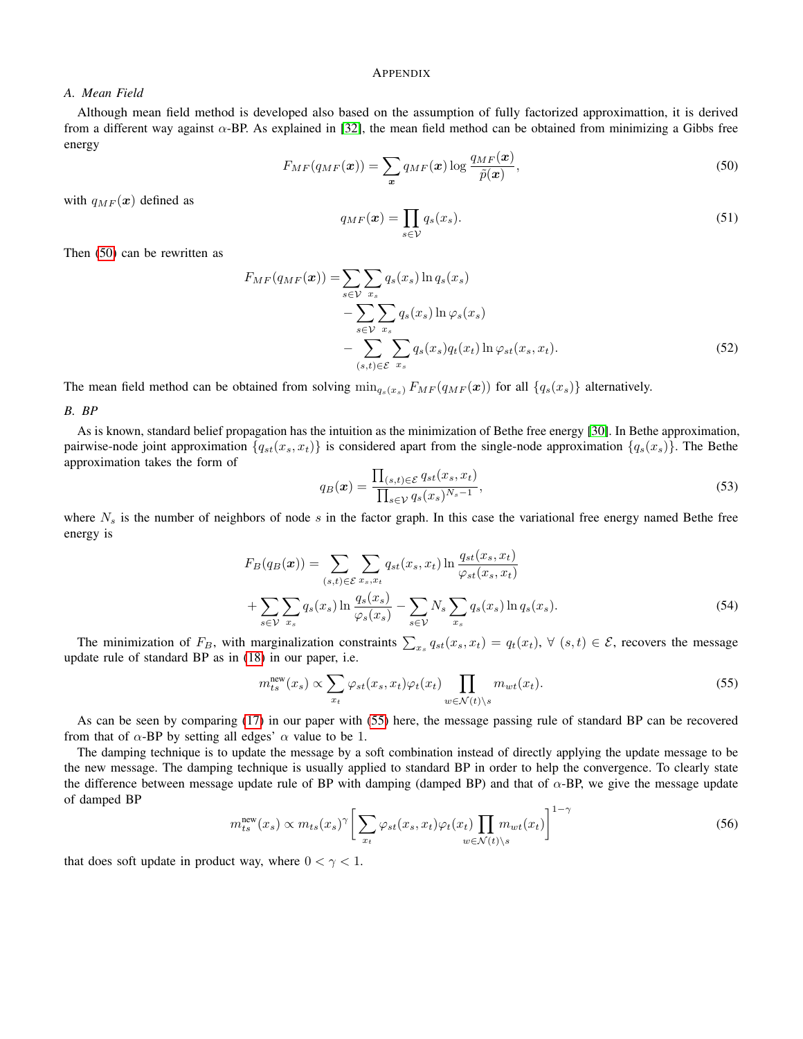## <span id="page-10-0"></span>APPENDIX

## *A. Mean Field*

<span id="page-10-1"></span>Although mean field method is developed also based on the assumption of fully factorized approximattion, it is derived from a different way against  $\alpha$ -BP. As explained in [\[32\]](#page-9-32), the mean field method can be obtained from minimizing a Gibbs free energy

$$
F_{MF}(q_{MF}(\boldsymbol{x})) = \sum_{\boldsymbol{x}} q_{MF}(\boldsymbol{x}) \log \frac{q_{MF}(\boldsymbol{x})}{\tilde{p}(\boldsymbol{x})},\tag{50}
$$

with  $q_{MF}(\boldsymbol{x})$  defined as

 $q_{MF}(\boldsymbol{x}) = \prod$ s∈V  $q_s(x_s)$ . (51)

Then [\(50\)](#page-10-1) can be rewritten as

$$
F_{MF}(q_{MF}(\boldsymbol{x})) = \sum_{s \in \mathcal{V}} \sum_{x_s} q_s(x_s) \ln q_s(x_s)
$$
  
 
$$
- \sum_{s \in \mathcal{V}} \sum_{x_s} q_s(x_s) \ln \varphi_s(x_s)
$$
  
 
$$
- \sum_{(s,t) \in \mathcal{E}} \sum_{x_s} q_s(x_s) q_t(x_t) \ln \varphi_{st}(x_s, x_t).
$$
 (52)

The mean field method can be obtained from solving  $\min_{q_s(x_s)} F_{MF}(q_{MF}(\boldsymbol{x}))$  for all  $\{q_s(x_s)\}\$ alternatively.

## *B. BP*

As is known, standard belief propagation has the intuition as the minimization of Bethe free energy [\[30\]](#page-9-33). In Bethe approximation, pairwise-node joint approximation  $\{q_{st}(x_s, x_t)\}$  is considered apart from the single-node approximation  $\{q_s(x_s)\}$ . The Bethe approximation takes the form of

$$
q_B(\boldsymbol{x}) = \frac{\prod_{(s,t)\in\mathcal{E}} q_{st}(x_s, x_t)}{\prod_{s\in\mathcal{V}} q_s(x_s)^{N_s - 1}},
$$
\n(53)

where  $N_s$  is the number of neighbors of node s in the factor graph. In this case the variational free energy named Bethe free energy is

$$
F_B(q_B(\boldsymbol{x})) = \sum_{(s,t)\in\mathcal{E}} \sum_{x_s, x_t} q_{st}(x_s, x_t) \ln \frac{q_{st}(x_s, x_t)}{\varphi_{st}(x_s, x_t)}
$$

$$
+ \sum_{s\in\mathcal{V}} \sum_{x_s} q_s(x_s) \ln \frac{q_s(x_s)}{\varphi_s(x_s)} - \sum_{s\in\mathcal{V}} N_s \sum_{x_s} q_s(x_s) \ln q_s(x_s). \tag{54}
$$

The minimization of  $F_B$ , with marginalization constraints  $\sum_{x_s} q_{st}(x_s, x_t) = q_t(x_t)$ ,  $\forall$   $(s, t) \in \mathcal{E}$ , recovers the message update rule of standard BP as in [\(18\)](#page-3-5) in our paper, i.e.

<span id="page-10-2"></span>
$$
m_{ts}^{\text{new}}(x_s) \propto \sum_{x_t} \varphi_{st}(x_s, x_t) \varphi_t(x_t) \prod_{w \in \mathcal{N}(t) \backslash s} m_{wt}(x_t). \tag{55}
$$

As can be seen by comparing [\(17\)](#page-3-3) in our paper with [\(55\)](#page-10-2) here, the message passing rule of standard BP can be recovered from that of  $\alpha$ -BP by setting all edges'  $\alpha$  value to be 1.

The damping technique is to update the message by a soft combination instead of directly applying the update message to be the new message. The damping technique is usually applied to standard BP in order to help the convergence. To clearly state the difference between message update rule of BP with damping (damped BP) and that of  $\alpha$ -BP, we give the message update of damped BP

$$
m_{ts}^{\text{new}}(x_s) \propto m_{ts}(x_s)^\gamma \bigg[ \sum_{x_t} \varphi_{st}(x_s, x_t) \varphi_t(x_t) \prod_{w \in \mathcal{N}(t) \setminus s} m_{wt}(x_t) \bigg]^{1-\gamma} \tag{56}
$$

that does soft update in product way, where  $0 < \gamma < 1$ .